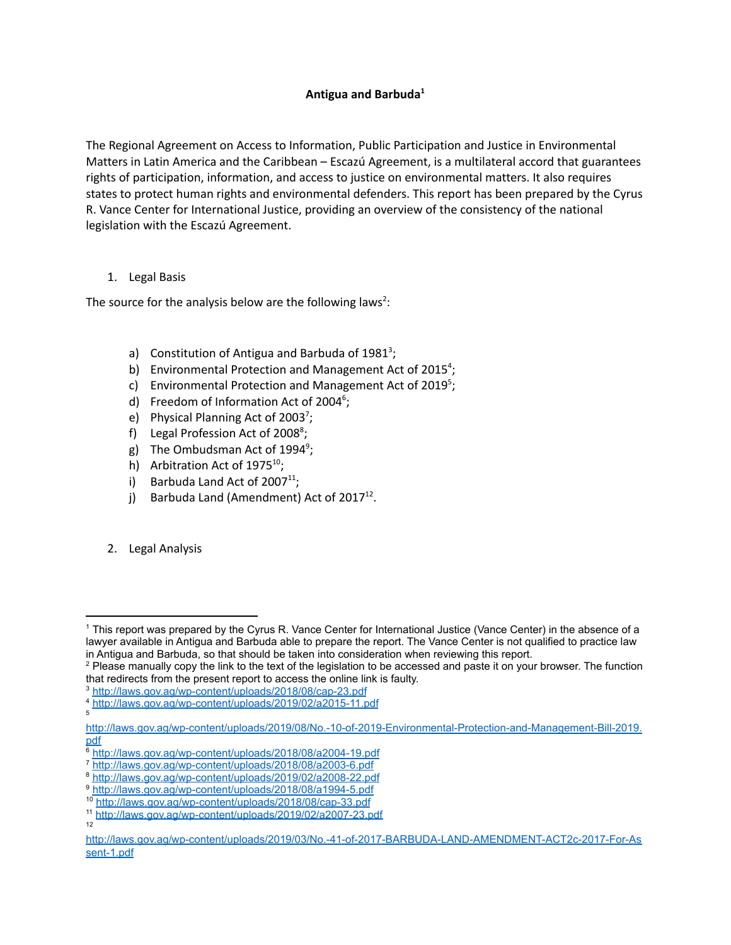# **Antigua and Barbuda 1**

The Regional Agreement on Access to Information, Public Participation and Justice in Environmental Matters in Latin America and the Caribbean – Escazú Agreement, is a multilateral accord that guarantees rights of participation, information, and access to justice on environmental matters. It also requires states to protect human rights and environmental defenders. This report has been prepared by the Cyrus R. Vance Center for International Justice, providing an overview of the consistency of the national legislation with the Escazú Agreement.

#### 1. Legal Basis

The source for the analysis below are the following laws<sup>2</sup>:

- a) Constitution of Antigua and Barbuda of  $1981^3$ ;
- b) Environmental Protection and Management Act of 2015<sup>4</sup>;
- c) Environmental Protection and Management Act of 2019<sup>5</sup>;
- d) Freedom of Information Act of 2004<sup>6</sup>;
- e) Physical Planning Act of 2003<sup>7</sup>;
- f) Legal Profession Act of 2008<sup>8</sup>;
- g) The Ombudsman Act of 1994<sup>9</sup>;
- h) Arbitration Act of  $1975^{10}$ ;
- i) Barbuda Land Act of  $2007<sup>11</sup>$ ;
- j) Barbuda Land (Amendment) Act of  $2017^{12}$ .
- 2. Legal Analysis

<sup>1</sup> This report was prepared by the Cyrus R. Vance Center for International Justice (Vance Center) in the absence of a lawyer available in Antigua and Barbuda able to prepare the report. The Vance Center is not qualified to practice law in Antigua and Barbuda, so that should be taken into consideration when reviewing this report.

<sup>&</sup>lt;sup>2</sup> Please manually copy the link to the text of the legislation to be accessed and paste it on your browser. The function that redirects from the present report to access the online link is faulty.

<sup>3</sup> <http://laws.gov.ag/wp-content/uploads/2018/08/cap-23.pdf>

<sup>4</sup> <http://laws.gov.ag/wp-content/uploads/2019/02/a2015-11.pdf>

<sup>5</sup>

[http://laws.gov.ag/wp-content/uploads/2019/08/No.-10-of-2019-Environmental-Protection-and-Management-Bill-2019.](http://laws.gov.ag/wp-content/uploads/2019/08/No.-10-of-2019-Environmental-Protection-and-Management-Bill-2019.pdf) [pdf](http://laws.gov.ag/wp-content/uploads/2019/08/No.-10-of-2019-Environmental-Protection-and-Management-Bill-2019.pdf)

<sup>6</sup> <http://laws.gov.ag/wp-content/uploads/2018/08/a2004-19.pdf>

<sup>7</sup> <http://laws.gov.ag/wp-content/uploads/2018/08/a2003-6.pdf>

<sup>8</sup> <http://laws.gov.ag/wp-content/uploads/2019/02/a2008-22.pdf>

<sup>9</sup> <http://laws.gov.ag/wp-content/uploads/2018/08/a1994-5.pdf>

<sup>10</sup> <http://laws.gov.ag/wp-content/uploads/2018/08/cap-33.pdf>

<sup>12</sup> <sup>11</sup> <http://laws.gov.ag/wp-content/uploads/2019/02/a2007-23.pdf>

[http://laws.gov.ag/wp-content/uploads/2019/03/No.-41-of-2017-BARBUDA-LAND-AMENDMENT-ACT2c-2017-For-As](http://laws.gov.ag/wp-content/uploads/2019/03/No.-41-of-2017-BARBUDA-LAND-AMENDMENT-ACT2c-2017-For-Assent-1.pdf) [sent-1.pdf](http://laws.gov.ag/wp-content/uploads/2019/03/No.-41-of-2017-BARBUDA-LAND-AMENDMENT-ACT2c-2017-For-Assent-1.pdf)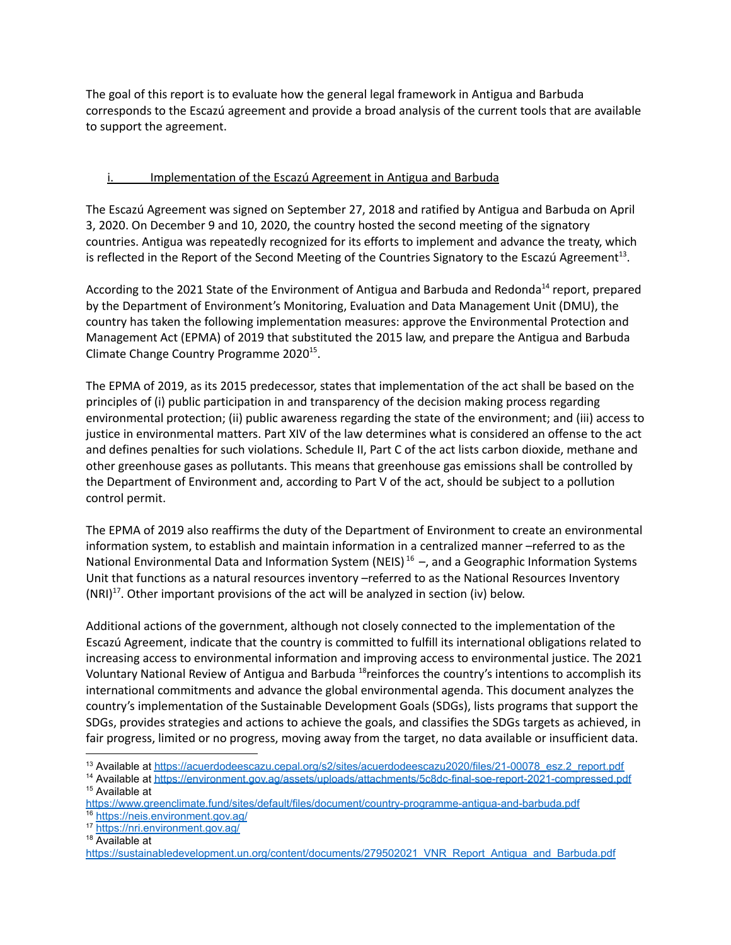The goal of this report is to evaluate how the general legal framework in Antigua and Barbuda corresponds to the Escazú agreement and provide a broad analysis of the current tools that are available to support the agreement.

### i. Implementation of the Escazú Agreement in Antigua and Barbuda

The Escazú Agreement was signed on September 27, 2018 and ratified by Antigua and Barbuda on April 3, 2020. On December 9 and 10, 2020, the country hosted the second meeting of the signatory countries. Antigua was repeatedly recognized for its efforts to implement and advance the treaty, which is reflected in the Report of the Second Meeting of the Countries Signatory to the Escazú Agreement<sup>13</sup>.

According to the 2021 State of the Environment of Antigua and Barbuda and Redonda<sup>14</sup> report, prepared by the Department of Environment's Monitoring, Evaluation and Data Management Unit (DMU), the country has taken the following implementation measures: approve the Environmental Protection and Management Act (EPMA) of 2019 that substituted the 2015 law, and prepare the Antigua and Barbuda Climate Change Country Programme 2020<sup>15</sup>.

The EPMA of 2019, as its 2015 predecessor, states that implementation of the act shall be based on the principles of (i) public participation in and transparency of the decision making process regarding environmental protection; (ii) public awareness regarding the state of the environment; and (iii) access to justice in environmental matters. Part XIV of the law determines what is considered an offense to the act and defines penalties for such violations. Schedule II, Part C of the act lists carbon dioxide, methane and other greenhouse gases as pollutants. This means that greenhouse gas emissions shall be controlled by the Department of Environment and, according to Part V of the act, should be subject to a pollution control permit.

The EPMA of 2019 also reaffirms the duty of the Department of Environment to create an environmental information system, to establish and maintain information in a centralized manner –referred to as the National Environmental Data and Information System (NEIS)<sup>16</sup> -, and a Geographic Information Systems Unit that functions as a natural resources inventory –referred to as the National Resources Inventory  $(NRI)^{17}$ . Other important provisions of the act will be analyzed in section (iv) below.

Additional actions of the government, although not closely connected to the implementation of the Escazú Agreement, indicate that the country is committed to fulfill its international obligations related to increasing access to environmental information and improving access to environmental justice. The 2021 Voluntary National Review of Antigua and Barbuda <sup>18</sup>reinforces the country's intentions to accomplish its international commitments and advance the global environmental agenda. This document analyzes the country's implementation of the Sustainable Development Goals (SDGs), lists programs that support the SDGs, provides strategies and actions to achieve the goals, and classifies the SDGs targets as achieved, in fair progress, limited or no progress, moving away from the target, no data available or insufficient data.

<sup>17</sup> <https://nri.environment.gov.ag/>

<sup>18</sup> Available at

<sup>&</sup>lt;sup>13</sup> Available at [https://acuerdodeescazu.cepal.org/s2/sites/acuerdodeescazu2020/files/21-00078\\_esz.2\\_report.pdf](https://acuerdodeescazu.cepal.org/s2/sites/acuerdodeescazu2020/files/21-00078_esz.2_report.pdf)

<sup>&</sup>lt;sup>15</sup> Available at <sup>14</sup> Available at <https://environment.gov.ag/assets/uploads/attachments/5c8dc-final-soe-report-2021-compressed.pdf>

<sup>16</sup> <https://neis.environment.gov.ag/> <https://www.greenclimate.fund/sites/default/files/document/country-programme-antigua-and-barbuda.pdf>

[https://sustainabledevelopment.un.org/content/documents/279502021\\_VNR\\_Report\\_Antigua\\_and\\_Barbuda.pdf](https://sustainabledevelopment.un.org/content/documents/279502021_VNR_Report_Antigua_and_Barbuda.pdf)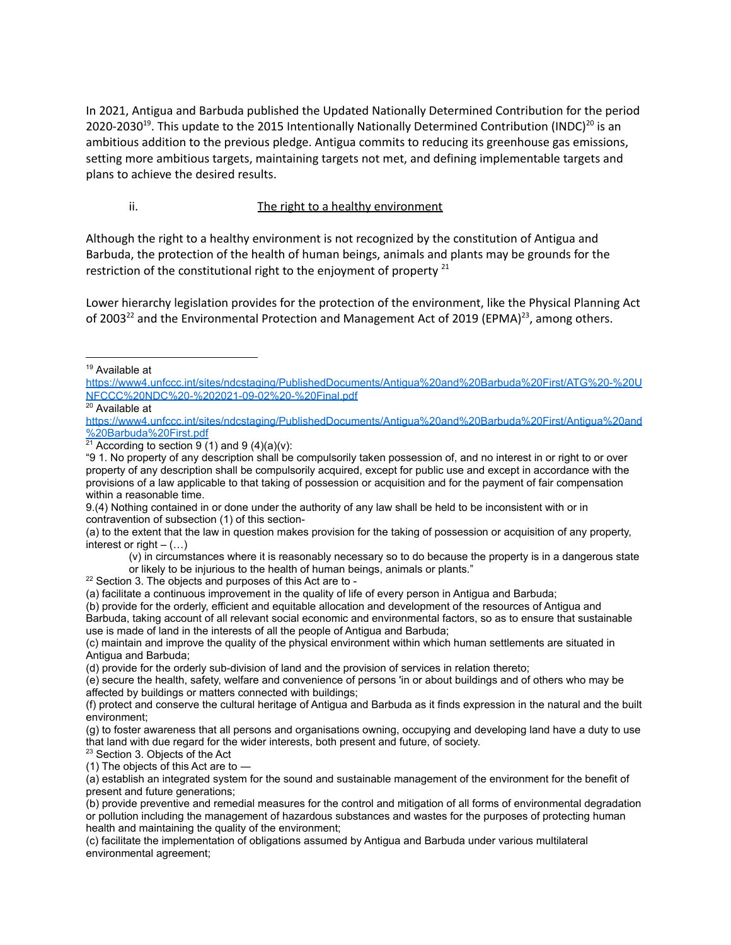In 2021, Antigua and Barbuda published the Updated Nationally Determined Contribution for the period 2020-2030<sup>19</sup>. This update to the 2015 Intentionally Nationally Determined Contribution (INDC)<sup>20</sup> is an ambitious addition to the previous pledge. Antigua commits to reducing its greenhouse gas emissions, setting more ambitious targets, maintaining targets not met, and defining implementable targets and plans to achieve the desired results.

#### ii. The right to a healthy environment

Although the right to a healthy environment is not recognized by the constitution of Antigua and Barbuda, the protection of the health of human beings, animals and plants may be grounds for the restriction of the constitutional right to the enjoyment of property  $^{21}$ 

Lower hierarchy legislation provides for the protection of the environment, like the Physical Planning Act of 2003<sup>22</sup> and the Environmental Protection and Management Act of 2019 (EPMA)<sup>23</sup>, among others.

<sup>19</sup> Available at

[https://www4.unfccc.int/sites/ndcstaging/PublishedDocuments/Antigua%20and%20Barbuda%20First/ATG%20-%20U](https://www4.unfccc.int/sites/ndcstaging/PublishedDocuments/Antigua%20and%20Barbuda%20First/ATG%20-%20UNFCCC%20NDC%20-%202021-09-02%20-%20Final.pdf) [NFCCC%20NDC%20-%202021-09-02%20-%20Final.pdf](https://www4.unfccc.int/sites/ndcstaging/PublishedDocuments/Antigua%20and%20Barbuda%20First/ATG%20-%20UNFCCC%20NDC%20-%202021-09-02%20-%20Final.pdf)

<sup>&</sup>lt;sup>20</sup> Available at

[https://www4.unfccc.int/sites/ndcstaging/PublishedDocuments/Antigua%20and%20Barbuda%20First/Antigua%20and](https://www4.unfccc.int/sites/ndcstaging/PublishedDocuments/Antigua%20and%20Barbuda%20First/Antigua%20and%20Barbuda%20First.pdf) [%20Barbuda%20First.pdf](https://www4.unfccc.int/sites/ndcstaging/PublishedDocuments/Antigua%20and%20Barbuda%20First/Antigua%20and%20Barbuda%20First.pdf)

 $21$  According to section 9 (1) and 9 (4)(a)(v):

<sup>&</sup>quot;9 1. No property of any description shall be compulsorily taken possession of, and no interest in or right to or over property of any description shall be compulsorily acquired, except for public use and except in accordance with the provisions of a law applicable to that taking of possession or acquisition and for the payment of fair compensation within a reasonable time.

<sup>9.(4)</sup> Nothing contained in or done under the authority of any law shall be held to be inconsistent with or in contravention of subsection (1) of this section-

<sup>(</sup>a) to the extent that the law in question makes provision for the taking of possession or acquisition of any property, interest or right  $(...)$ 

<sup>(</sup>v) in circumstances where it is reasonably necessary so to do because the property is in a dangerous state

or likely to be injurious to the health of human beings, animals or plants."

<sup>&</sup>lt;sup>22</sup> Section 3. The objects and purposes of this Act are to -

<sup>(</sup>a) facilitate a continuous improvement in the quality of life of every person in Antigua and Barbuda;

<sup>(</sup>b) provide for the orderly, efficient and equitable allocation and development of the resources of Antigua and Barbuda, taking account of all relevant social economic and environmental factors, so as to ensure that sustainable use is made of land in the interests of all the people of Antigua and Barbuda;

<sup>(</sup>c) maintain and improve the quality of the physical environment within which human settlements are situated in Antigua and Barbuda;

<sup>(</sup>d) provide for the orderly sub-division of land and the provision of services in relation thereto;

<sup>(</sup>e) secure the health, safety, welfare and convenience of persons 'in or about buildings and of others who may be affected by buildings or matters connected with buildings;

<sup>(</sup>f) protect and conserve the cultural heritage of Antigua and Barbuda as it finds expression in the natural and the built environment;

<sup>(</sup>g) to foster awareness that all persons and organisations owning, occupying and developing land have a duty to use that land with due regard for the wider interests, both present and future, of society.

<sup>&</sup>lt;sup>23</sup> Section 3. Objects of the Act

<sup>(1)</sup> The objects of this Act are to ―

<sup>(</sup>a) establish an integrated system for the sound and sustainable management of the environment for the benefit of present and future generations;

<sup>(</sup>b) provide preventive and remedial measures for the control and mitigation of all forms of environmental degradation or pollution including the management of hazardous substances and wastes for the purposes of protecting human health and maintaining the quality of the environment;

<sup>(</sup>c) facilitate the implementation of obligations assumed by Antigua and Barbuda under various multilateral environmental agreement;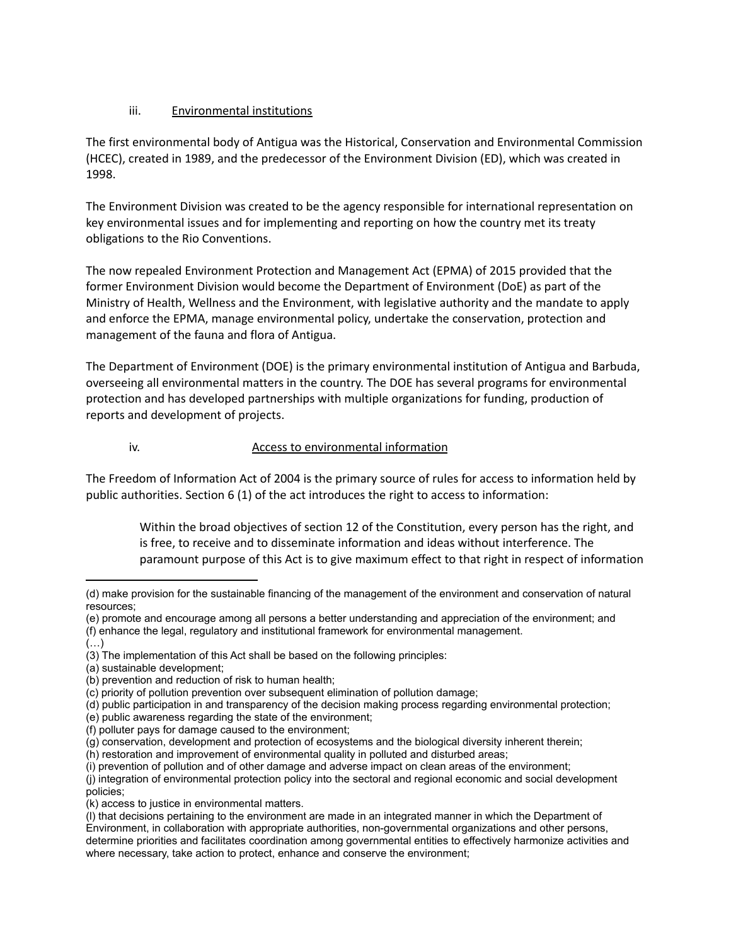### iii. Environmental institutions

The first environmental body of Antigua was the Historical, Conservation and Environmental Commission (HCEC), created in 1989, and the predecessor of the Environment Division (ED), which was created in 1998.

The Environment Division was created to be the agency responsible for international representation on key environmental issues and for implementing and reporting on how the country met its treaty obligations to the Rio Conventions.

The now repealed Environment Protection and Management Act (EPMA) of 2015 provided that the former Environment Division would become the Department of Environment (DoE) as part of the Ministry of Health, Wellness and the Environment, with legislative authority and the mandate to apply and enforce the EPMA, manage environmental policy, undertake the conservation, protection and management of the fauna and flora of Antigua.

The Department of Environment (DOE) is the primary environmental institution of Antigua and Barbuda, overseeing all environmental matters in the country. The DOE has several programs for environmental protection and has developed partnerships with multiple organizations for funding, production of reports and development of projects.

#### iv. Access to environmental information

The Freedom of Information Act of 2004 is the primary source of rules for access to information held by public authorities. Section 6 (1) of the act introduces the right to access to information:

Within the broad objectives of section 12 of the Constitution, every person has the right, and is free, to receive and to disseminate information and ideas without interference. The paramount purpose of this Act is to give maximum effect to that right in respect of information

 $(\ldots)$ 

(i) prevention of pollution and of other damage and adverse impact on clean areas of the environment;

(k) access to justice in environmental matters.

<sup>(</sup>d) make provision for the sustainable financing of the management of the environment and conservation of natural resources;

<sup>(</sup>e) promote and encourage among all persons a better understanding and appreciation of the environment; and (f) enhance the legal, regulatory and institutional framework for environmental management.

<sup>(3)</sup> The implementation of this Act shall be based on the following principles:

<sup>(</sup>a) sustainable development;

<sup>(</sup>b) prevention and reduction of risk to human health;

<sup>(</sup>c) priority of pollution prevention over subsequent elimination of pollution damage;

<sup>(</sup>d) public participation in and transparency of the decision making process regarding environmental protection;

<sup>(</sup>e) public awareness regarding the state of the environment;

<sup>(</sup>f) polluter pays for damage caused to the environment;

<sup>(</sup>g) conservation, development and protection of ecosystems and the biological diversity inherent therein;

<sup>(</sup>h) restoration and improvement of environmental quality in polluted and disturbed areas;

<sup>(</sup>j) integration of environmental protection policy into the sectoral and regional economic and social development policies;

<sup>(</sup>l) that decisions pertaining to the environment are made in an integrated manner in which the Department of Environment, in collaboration with appropriate authorities, non-governmental organizations and other persons, determine priorities and facilitates coordination among governmental entities to effectively harmonize activities and where necessary, take action to protect, enhance and conserve the environment;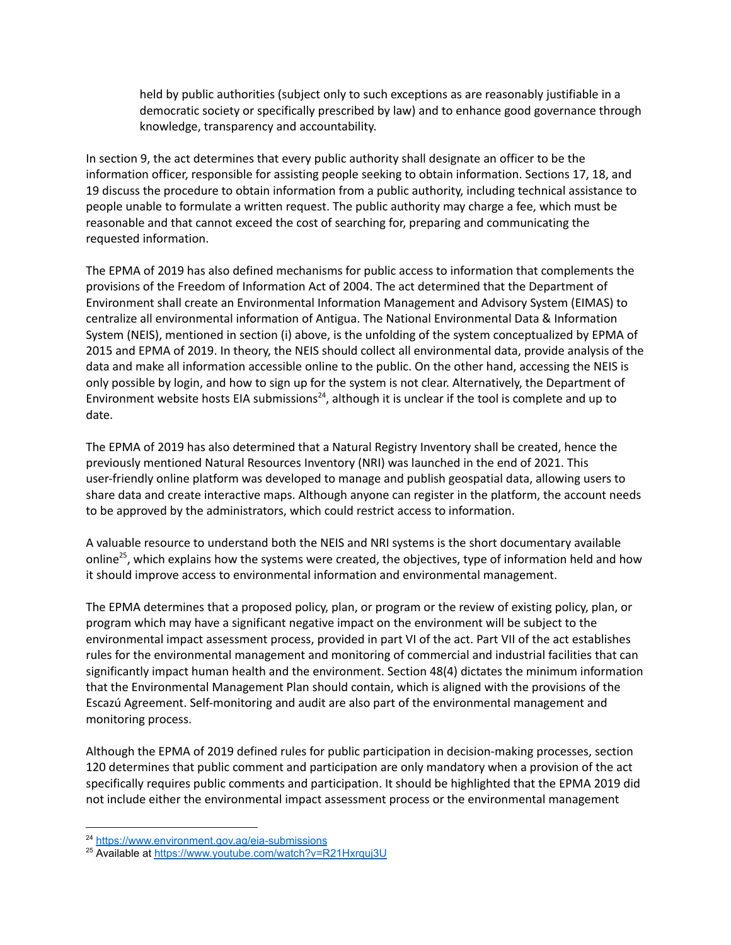held by public authorities (subject only to such exceptions as are reasonably justifiable in a democratic society or specifically prescribed by law) and to enhance good governance through knowledge, transparency and accountability.

In section 9, the act determines that every public authority shall designate an officer to be the information officer, responsible for assisting people seeking to obtain information. Sections 17, 18, and 19 discuss the procedure to obtain information from a public authority, including technical assistance to people unable to formulate a written request. The public authority may charge a fee, which must be reasonable and that cannot exceed the cost of searching for, preparing and communicating the requested information.

The EPMA of 2019 has also defined mechanisms for public access to information that complements the provisions of the Freedom of Information Act of 2004. The act determined that the Department of Environment shall create an Environmental Information Management and Advisory System (EIMAS) to centralize all environmental information of Antigua. The National Environmental Data & Information System (NEIS), mentioned in section (i) above, is the unfolding of the system conceptualized by EPMA of 2015 and EPMA of 2019. In theory, the NEIS should collect all environmental data, provide analysis of the data and make all information accessible online to the public. On the other hand, accessing the NEIS is only possible by login, and how to sign up for the system is not clear. Alternatively, the Department of Environment website hosts EIA submissions<sup>24</sup>, although it is unclear if the tool is complete and up to date.

The EPMA of 2019 has also determined that a Natural Registry Inventory shall be created, hence the previously mentioned Natural Resources Inventory (NRI) was launched in the end of 2021. This user-friendly online platform was developed to manage and publish geospatial data, allowing users to share data and create interactive maps. Although anyone can register in the platform, the account needs to be approved by the administrators, which could restrict access to information.

A valuable resource to understand both the NEIS and NRI systems is the short documentary available online<sup>25</sup>, which explains how the systems were created, the objectives, type of information held and how it should improve access to environmental information and environmental management.

The EPMA determines that a proposed policy, plan, or program or the review of existing policy, plan, or program which may have a significant negative impact on the environment will be subject to the environmental impact assessment process, provided in part VI of the act. Part VII of the act establishes rules for the environmental management and monitoring of commercial and industrial facilities that can significantly impact human health and the environment. Section 48(4) dictates the minimum information that the Environmental Management Plan should contain, which is aligned with the provisions of the Escazú Agreement. Self-monitoring and audit are also part of the environmental management and monitoring process.

Although the EPMA of 2019 defined rules for public participation in decision-making processes, section 120 determines that public comment and participation are only mandatory when a provision of the act specifically requires public comments and participation. It should be highlighted that the EPMA 2019 did not include either the environmental impact assessment process or the environmental management

<sup>&</sup>lt;sup>24</sup> <https://www.environment.gov.ag/eia-submissions>

<sup>25</sup> Available at <https://www.youtube.com/watch?v=R21Hxrquj3U>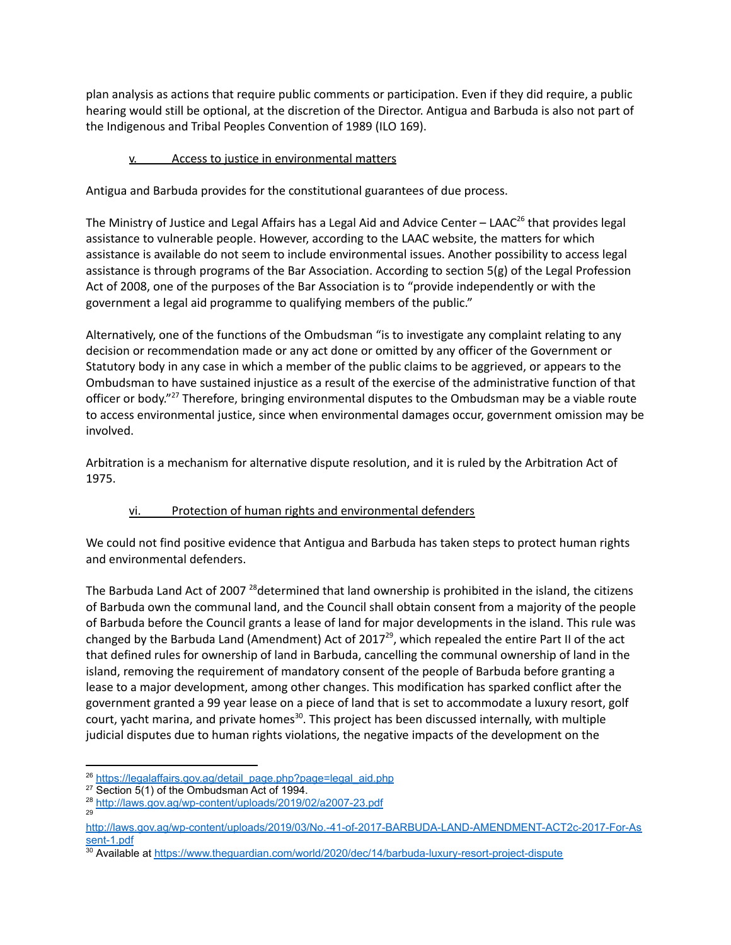plan analysis as actions that require public comments or participation. Even if they did require, a public hearing would still be optional, at the discretion of the Director. Antigua and Barbuda is also not part of the Indigenous and Tribal Peoples Convention of 1989 (ILO 169).

# v. Access to justice in environmental matters

Antigua and Barbuda provides for the constitutional guarantees of due process.

The Ministry of Justice and Legal Affairs has a Legal Aid and Advice Center – LAAC<sup>26</sup> that provides legal assistance to vulnerable people. However, according to the LAAC website, the matters for which assistance is available do not seem to include environmental issues. Another possibility to access legal assistance is through programs of the Bar Association. According to section 5(g) of the Legal Profession Act of 2008, one of the purposes of the Bar Association is to "provide independently or with the government a legal aid programme to qualifying members of the public."

Alternatively, one of the functions of the Ombudsman "is to investigate any complaint relating to any decision or recommendation made or any act done or omitted by any officer of the Government or Statutory body in any case in which a member of the public claims to be aggrieved, or appears to the Ombudsman to have sustained injustice as a result of the exercise of the administrative function of that officer or body."<sup>27</sup> Therefore, bringing environmental disputes to the Ombudsman may be a viable route to access environmental justice, since when environmental damages occur, government omission may be involved.

Arbitration is a mechanism for alternative dispute resolution, and it is ruled by the Arbitration Act of 1975.

# vi. Protection of human rights and environmental defenders

We could not find positive evidence that Antigua and Barbuda has taken steps to protect human rights and environmental defenders.

The Barbuda Land Act of 2007 <sup>28</sup>determined that land ownership is prohibited in the island, the citizens of Barbuda own the communal land, and the Council shall obtain consent from a majority of the people of Barbuda before the Council grants a lease of land for major developments in the island. This rule was changed by the Barbuda Land (Amendment) Act of 2017<sup>29</sup>, which repealed the entire Part II of the act that defined rules for ownership of land in Barbuda, cancelling the communal ownership of land in the island, removing the requirement of mandatory consent of the people of Barbuda before granting a lease to a major development, among other changes. This modification has sparked conflict after the government granted a 99 year lease on a piece of land that is set to accommodate a luxury resort, golf court, yacht marina, and private homes<sup>30</sup>. This project has been discussed internally, with multiple judicial disputes due to human rights violations, the negative impacts of the development on the

<sup>&</sup>lt;sup>26</sup> [https://legalaffairs.gov.ag/detail\\_page.php?page=legal\\_aid.php](https://legalaffairs.gov.ag/detail_page.php?page=legal_aid.php)

<sup>&</sup>lt;sup>27</sup> Section 5(1) of the Ombudsman Act of 1994.

<sup>29</sup> <sup>28</sup> <http://laws.gov.ag/wp-content/uploads/2019/02/a2007-23.pdf>

[http://laws.gov.ag/wp-content/uploads/2019/03/No.-41-of-2017-BARBUDA-LAND-AMENDMENT-ACT2c-2017-For-As](http://laws.gov.ag/wp-content/uploads/2019/03/No.-41-of-2017-BARBUDA-LAND-AMENDMENT-ACT2c-2017-For-Assent-1.pdf) [sent-1.pdf](http://laws.gov.ag/wp-content/uploads/2019/03/No.-41-of-2017-BARBUDA-LAND-AMENDMENT-ACT2c-2017-For-Assent-1.pdf)

<sup>30</sup> Available at <https://www.theguardian.com/world/2020/dec/14/barbuda-luxury-resort-project-dispute>